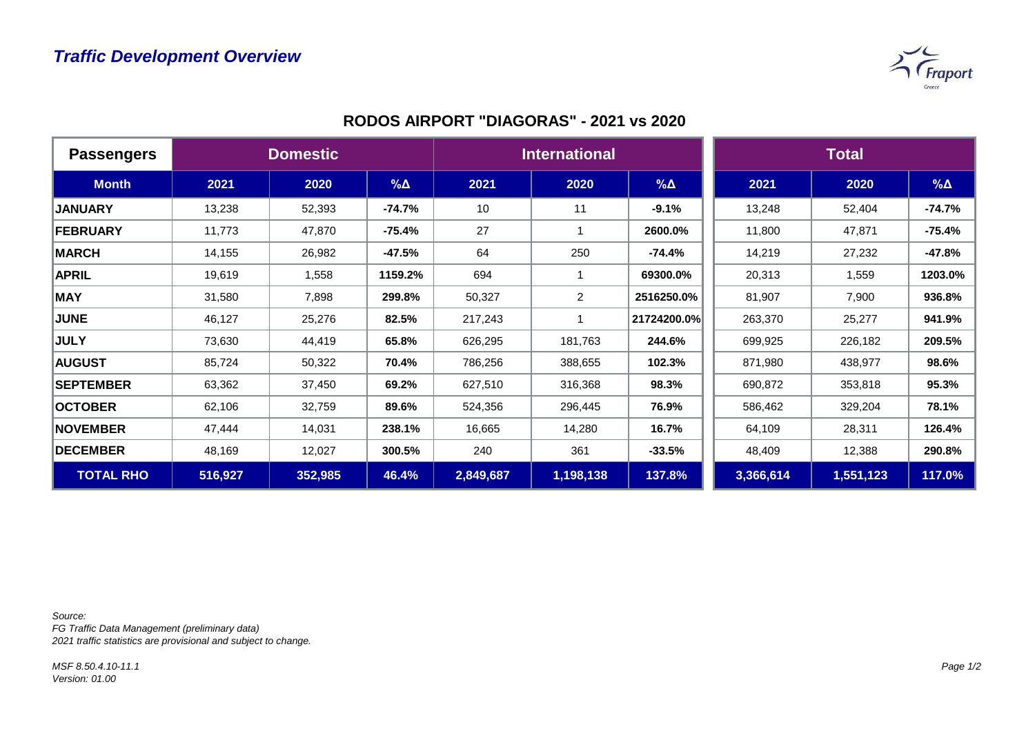

| <b>Passengers</b> | <b>Domestic</b> |         |             | <b>International</b> |                |             | <b>Total</b> |           |            |
|-------------------|-----------------|---------|-------------|----------------------|----------------|-------------|--------------|-----------|------------|
| <b>Month</b>      | 2021            | 2020    | $\% \Delta$ | 2021                 | 2020           | $\% \Delta$ | 2021         | 2020      | $% \Delta$ |
| <b>JANUARY</b>    | 13,238          | 52,393  | $-74.7%$    | 10                   | 11             | $-9.1%$     | 13,248       | 52,404    | $-74.7%$   |
| <b>FEBRUARY</b>   | 11,773          | 47,870  | $-75.4%$    | 27                   |                | 2600.0%     | 11,800       | 47,871    | $-75.4%$   |
| <b>MARCH</b>      | 14,155          | 26,982  | $-47.5%$    | 64                   | 250            | $-74.4%$    | 14,219       | 27,232    | $-47.8%$   |
| <b>APRIL</b>      | 19,619          | 1,558   | 1159.2%     | 694                  |                | 69300.0%    | 20,313       | 1,559     | 1203.0%    |
| <b>MAY</b>        | 31,580          | 7,898   | 299.8%      | 50,327               | $\overline{2}$ | 2516250.0%  | 81,907       | 7,900     | 936.8%     |
| <b>JUNE</b>       | 46,127          | 25,276  | 82.5%       | 217,243              |                | 21724200.0% | 263,370      | 25,277    | 941.9%     |
| <b>JULY</b>       | 73,630          | 44,419  | 65.8%       | 626,295              | 181,763        | 244.6%      | 699,925      | 226,182   | 209.5%     |
| <b>AUGUST</b>     | 85,724          | 50,322  | 70.4%       | 786,256              | 388,655        | 102.3%      | 871,980      | 438,977   | 98.6%      |
| <b>SEPTEMBER</b>  | 63,362          | 37,450  | 69.2%       | 627,510              | 316,368        | 98.3%       | 690,872      | 353,818   | 95.3%      |
| <b>OCTOBER</b>    | 62,106          | 32,759  | 89.6%       | 524,356              | 296,445        | 76.9%       | 586,462      | 329,204   | 78.1%      |
| <b>NOVEMBER</b>   | 47,444          | 14,031  | 238.1%      | 16,665               | 14,280         | 16.7%       | 64,109       | 28,311    | 126.4%     |
| <b>DECEMBER</b>   | 48,169          | 12,027  | 300.5%      | 240                  | 361            | $-33.5%$    | 48,409       | 12,388    | 290.8%     |
| <b>TOTAL RHO</b>  | 516,927         | 352,985 | 46.4%       | 2,849,687            | 1,198,138      | 137.8%      | 3,366,614    | 1,551,123 | 117.0%     |

*Source:* 

*FG Traffic Data Management (preliminary data) 2021 traffic statistics are provisional and subject to change.*

*MSF 8.50.4.10-11.1 Version: 01.00*